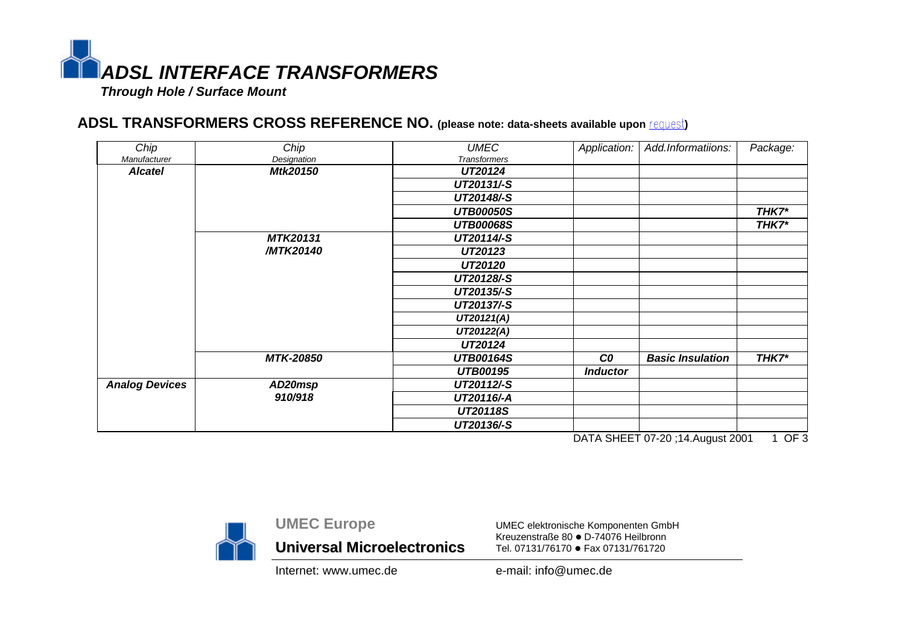

## **ADSL TRANSFORMERS CROSS REFERENCE NO. (please note: data-sheets available upon request)**

| Chip                  | Chip             | <b>UMEC</b>         | Application:    | Add.Informatiions:      | Package: |
|-----------------------|------------------|---------------------|-----------------|-------------------------|----------|
| Manufacturer          | Designation      | <b>Transformers</b> |                 |                         |          |
| <b>Alcatel</b>        | Mtk20150         | UT20124             |                 |                         |          |
|                       |                  | UT20131/-S          |                 |                         |          |
|                       |                  | UT20148/-S          |                 |                         |          |
|                       |                  | <b>UTB00050S</b>    |                 |                         | THK7*    |
|                       |                  | <b>UTB00068S</b>    |                 |                         | THK7*    |
|                       | <b>MTK20131</b>  | UT20114/-S          |                 |                         |          |
|                       | /MTK20140        | UT20123             |                 |                         |          |
|                       |                  | UT20120             |                 |                         |          |
|                       |                  | UT20128/-S          |                 |                         |          |
|                       |                  | UT20135/-S          |                 |                         |          |
|                       |                  | UT20137/-S          |                 |                         |          |
|                       |                  | UT20121(A)          |                 |                         |          |
|                       |                  | UT20122(A)          |                 |                         |          |
|                       |                  | UT20124             |                 |                         |          |
|                       | <b>MTK-20850</b> | <b>UTB00164S</b>    | co              | <b>Basic Insulation</b> | THK7*    |
|                       |                  | <b>UTB00195</b>     | <b>Inductor</b> |                         |          |
| <b>Analog Devices</b> | AD20msp          | UT20112/-S          |                 |                         |          |
|                       | 910/918          | UT20116/-A          |                 |                         |          |
|                       |                  | <b>UT20118S</b>     |                 |                         |          |
|                       |                  | UT20136/-S          |                 |                         |          |

DATA SHEET 07-20;14.August 2001 1 OF 3



**UMEC Europe Universal Microelectronics**

UMEC elektronische Komponenten GmbH Kreuzenstraße 80 · D-74076 Heilbronn Tel. 07131/76170 · Fax 07131/761720

Internet: www.umec.de e-mail: info@umec.de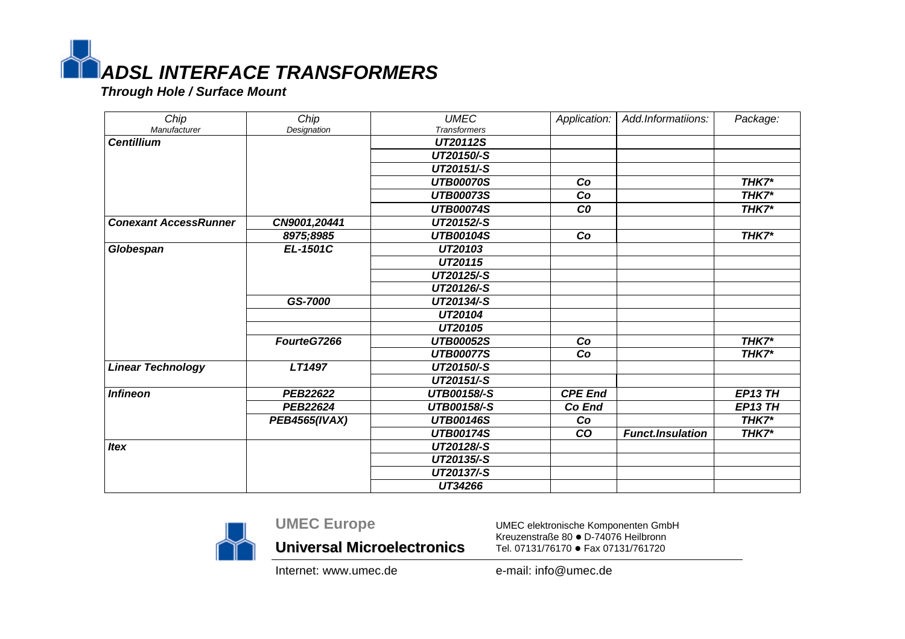

 *Through Hole / Surface Mount*

| Chip                         | Chip                 | <b>UMEC</b>         | Application:   | Add.Informatiions:      | Package:       |
|------------------------------|----------------------|---------------------|----------------|-------------------------|----------------|
| Manufacturer                 | Designation          | <b>Transformers</b> |                |                         |                |
| <b>Centillium</b>            |                      | UT20112S            |                |                         |                |
|                              |                      | UT20150/-S          |                |                         |                |
|                              |                      | UT20151/-S          |                |                         |                |
|                              |                      | <b>UTB00070S</b>    | Co             |                         | THK7*          |
|                              |                      | <b>UTB00073S</b>    | Co             |                         | THK7*          |
|                              |                      | <b>UTB00074S</b>    | co             |                         | THK7*          |
| <b>Conexant AccessRunner</b> | CN9001,20441         | UT20152/-S          |                |                         |                |
|                              | 8975;8985            | <b>UTB00104S</b>    | Co             |                         | THK7*          |
| Globespan                    | EL-1501C             | UT20103             |                |                         |                |
|                              |                      | UT20115             |                |                         |                |
|                              |                      | UT20125/-S          |                |                         |                |
|                              |                      | UT20126/-S          |                |                         |                |
|                              | GS-7000              | UT20134/-S          |                |                         |                |
|                              |                      | UT20104             |                |                         |                |
|                              |                      | UT20105             |                |                         |                |
|                              | FourteG7266          | <b>UTB00052S</b>    | Co             |                         | THK7*          |
|                              |                      | <b>UTB00077S</b>    | Co             |                         | THK7*          |
| <b>Linear Technology</b>     | LT1497               | UT20150/-S          |                |                         |                |
|                              |                      | UT20151/-S          |                |                         |                |
| <b>Infineon</b>              | <b>PEB22622</b>      | <b>UTB00158/-S</b>  | <b>CPE End</b> |                         | <b>EP13 TH</b> |
|                              | PEB22624             | <b>UTB00158/-S</b>  | Co End         |                         | <b>EP13 TH</b> |
|                              | <b>PEB4565(IVAX)</b> | <b>UTB00146S</b>    | Co             |                         | THK7*          |
|                              |                      | <b>UTB00174S</b>    | <b>CO</b>      | <b>Funct.Insulation</b> | THK7*          |
| <b>Itex</b>                  |                      | UT20128/-S          |                |                         |                |
|                              |                      | UT20135/-S          |                |                         |                |
|                              |                      | UT20137/-S          |                |                         |                |
|                              |                      | UT34266             |                |                         |                |



**UMEC Europe**

**Universal Microelectronics**

UMEC elektronische Komponenten GmbH Kreuzenstraße 80 · D-74076 Heilbronn Tel. 07131/76170 · Fax 07131/761720

Internet: www.umec.de e-mail: info@umec.de